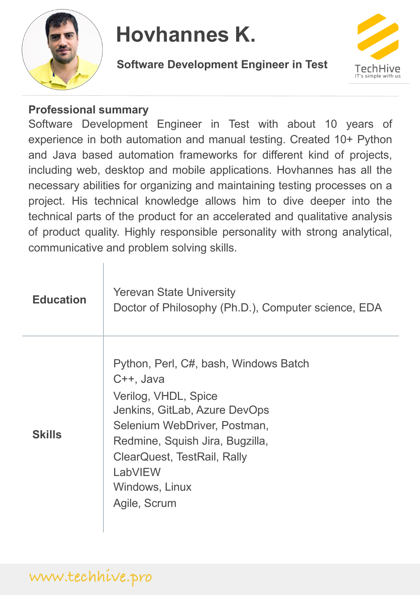

#### **Hovhannes K.**

**Software Development Engineer in Test**



### **Professional summary**

Software Development Engineer in Test with about 10 years of experience in both automation and manual testing. Created 10+ Python and Java based automation frameworks for different kind of projects, including web, desktop and mobile applications. Hovhannes has all the necessary abilities for organizing and maintaining testing processes on a project. His technical knowledge allows him to dive deeper into the technical parts of the product for an accelerated and qualitative analysis of product quality. Highly responsible personality with strong analytical, communicative and problem solving skills.

| <b>Education</b> | <b>Yerevan State University</b><br>Doctor of Philosophy (Ph.D.), Computer science, EDA                                                                                                                                                                     |
|------------------|------------------------------------------------------------------------------------------------------------------------------------------------------------------------------------------------------------------------------------------------------------|
| <b>Skills</b>    | Python, Perl, C#, bash, Windows Batch<br>C++, Java<br>Verilog, VHDL, Spice<br>Jenkins, GitLab, Azure DevOps<br>Selenium WebDriver, Postman,<br>Redmine, Squish Jira, Bugzilla,<br>ClearQuest, TestRail, Rally<br>LabVIEW<br>Windows, Linux<br>Agile, Scrum |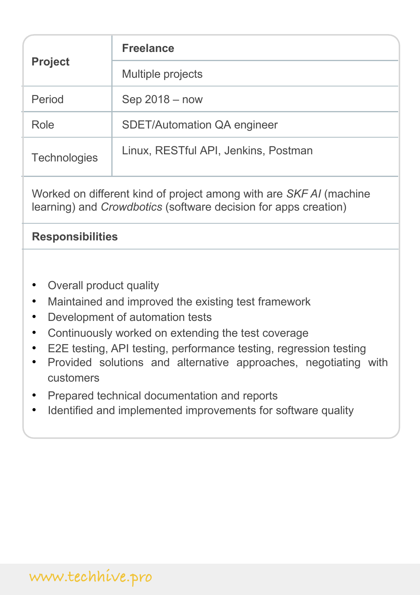| <b>Project</b>      | <b>Freelance</b>                     |
|---------------------|--------------------------------------|
|                     | Multiple projects                    |
| Period              | $Sep 2018 - now$                     |
| Role                | <b>SDET/Automation QA engineer</b>   |
| <b>Technologies</b> | Linux, RESTful API, Jenkins, Postman |

Worked on different kind of project among with are *SKF AI* (machine learning) and *Crowdbotics* (software decision for apps creation)

## **Responsibilities**

- Overall product quality
- Maintained and improved the existing test framework
- Development of automation tests
- Continuously worked on extending the test coverage
- E2E testing, API testing, performance testing, regression testing
- Provided solutions and alternative approaches, negotiating with customers
- Prepared technical documentation and reports
- Identified and implemented improvements for software quality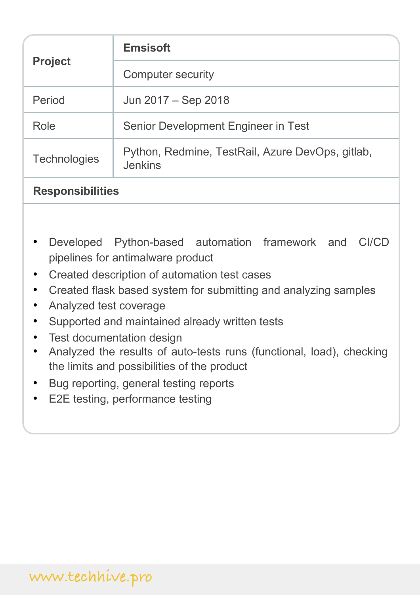| <b>Project</b>      | <b>Emsisoft</b>                                                    |
|---------------------|--------------------------------------------------------------------|
|                     | <b>Computer security</b>                                           |
| Period              | Jun 2017 – Sep 2018                                                |
| Role                | Senior Development Engineer in Test                                |
| <b>Technologies</b> | Python, Redmine, TestRail, Azure DevOps, gitlab,<br><b>Jenkins</b> |

### **Responsibilities**

- Developed Python-based automation framework and CI/CD pipelines for antimalware product
- Created description of automation test cases
- Created flask based system for submitting and analyzing samples
- Analyzed test coverage
- Supported and maintained already written tests
- Test documentation design
- Analyzed the results of auto-tests runs (functional, load), checking the limits and possibilities of the product
- Bug reporting, general testing reports
- E2E testing, performance testing

# **www.techhive.pro**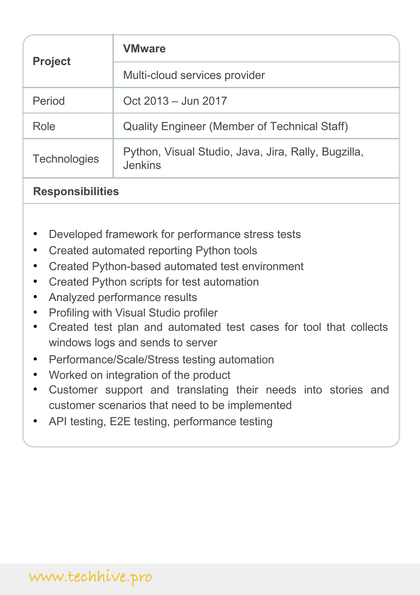| <b>Project</b>      | <b>VMware</b>                                                         |
|---------------------|-----------------------------------------------------------------------|
|                     | Multi-cloud services provider                                         |
| Period              | Oct 2013 – Jun 2017                                                   |
| Role                | <b>Quality Engineer (Member of Technical Staff)</b>                   |
| <b>Technologies</b> | Python, Visual Studio, Java, Jira, Rally, Bugzilla,<br><b>Jenkins</b> |

### **Responsibilities**

- Developed framework for performance stress tests
- Created automated reporting Python tools
- Created Python-based automated test environment
- Created Python scripts for test automation
- Analyzed performance results
- Profiling with Visual Studio profiler
- Created test plan and automated test cases for tool that collects windows logs and sends to server
- Performance/Scale/Stress testing automation
- Worked on integration of the product
- Customer support and translating their needs into stories and customer scenarios that need to be implemented
- API testing, E2E testing, performance testing

# **www.techhive.pro**